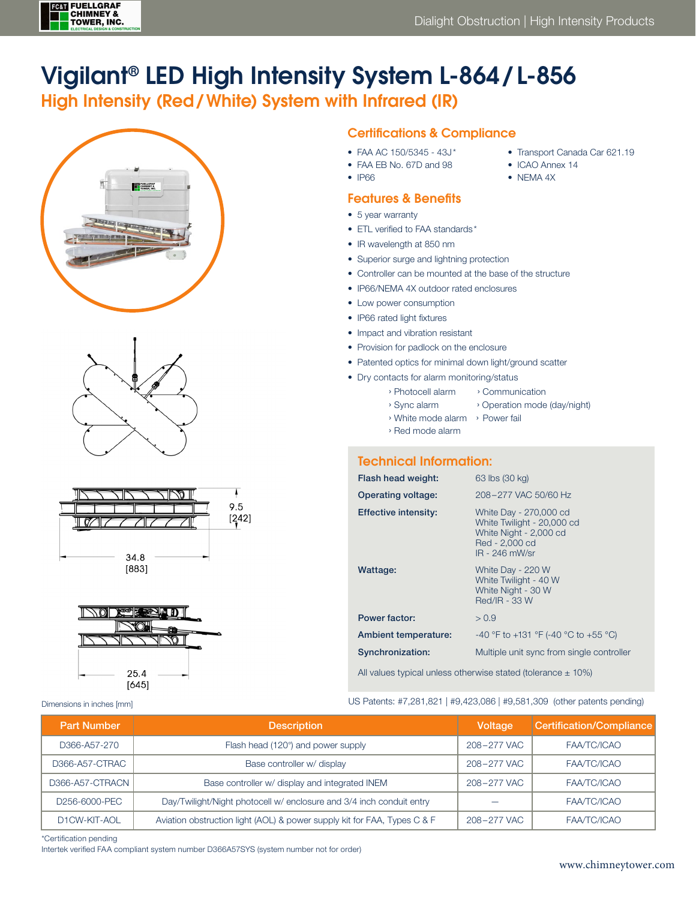

• Transport Canada Car 621.19

• ICAO Annex 14 • NEMA 4X

# Vigilant® LED High Intensity System L-864/ L-856

# High Intensity (Red/White) System with Infrared (IR)









Dimensions in inches [mm]

## Certifications & Compliance

- FAA AC 150/5345 43J\*
- FAA EB No. 67D and 98
- IP66

## Features & Benefits

- 5 year warranty
- ETL verified to FAA standards \*
- IR wavelength at 850 nm
- Superior surge and lightning protection
- Controller can be mounted at the base of the structure
- IP66/NEMA 4X outdoor rated enclosures
- Low power consumption
- IP66 rated light fixtures
- Impact and vibration resistant
- Provision for padlock on the enclosure
- Patented optics for minimal down light/ground scatter
- Dry contacts for alarm monitoring/status
	- › Photocell alarm › Communication
	- › Sync alarm › Operation mode (day/night)
	- › White mode alarm › Power fail
	- › Red mode alarm

## Technical Information:

| Flash head weight:   | 63 lbs (30 kg)                                                                                                     |
|----------------------|--------------------------------------------------------------------------------------------------------------------|
| Operating voltage:   | 208-277 VAC 50/60 Hz                                                                                               |
| Effective intensity: | White Day - 270,000 cd<br>White Twilight - 20,000 cd<br>White Night - 2,000 cd<br>Red - 2,000 cd<br>IR - 246 mW/sr |
| Wattage:             | White Day - 220 W<br>White Twilight - 40 W<br>White Night - 30 W<br>Red/IR - 33 W                                  |
| Power factor:        | > 0.9                                                                                                              |
| Ambient temperature: | -40 °F to +131 °F (-40 °C to +55 °C)                                                                               |
| Synchronization:     | Multiple unit sync from single controller                                                                          |

All values typical unless otherwise stated (tolerance  $\pm$  10%)

US Patents: #7,281,821 | #9,423,086 | #9,581,309 (other patents pending)

| <b>Part Number</b> | <b>Description</b>                                                       | Voltage     | Certification/Compliance |
|--------------------|--------------------------------------------------------------------------|-------------|--------------------------|
| D366-A57-270       | Flash head (120°) and power supply                                       | 208-277 VAC | FAA/TC/ICAO              |
| D366-A57-CTRAC     | Base controller w/ display                                               | 208-277 VAC | FAA/TC/ICAO              |
| D366-A57-CTRACN    | Base controller w/ display and integrated INEM                           | 208-277 VAC | FAA/TC/ICAO              |
| D256-6000-PEC      | Day/Twilight/Night photocell w/ enclosure and 3/4 inch conduit entry     |             | FAA/TC/ICAO              |
| D1CW-KIT-AOL       | Aviation obstruction light (AOL) & power supply kit for FAA, Types C & F | 208-277 VAC | FAA/TC/ICAO              |

\*Certification pending

Intertek verified FAA compliant system number D366A57SYS (system number not for order)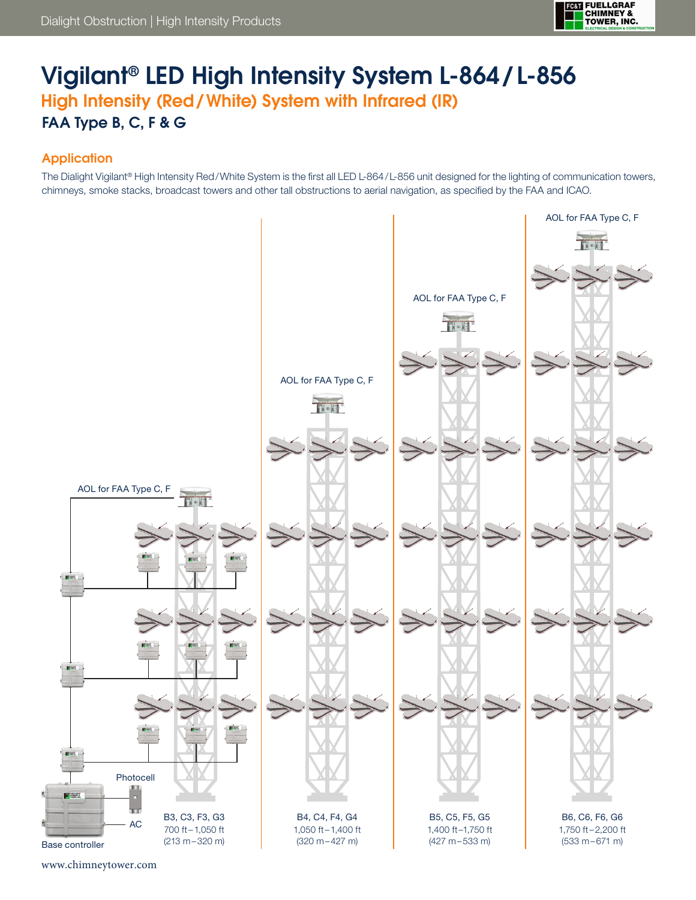

# Vigilant® LED High Intensity System L-864/ L-856 High Intensity (Red/White) System with Infrared (IR) FAA Type B, C, F & G

## **Application**

The Dialight Vigilant® High Intensity Red/White System is the first all LED L-864/L-856 unit designed for the lighting of communication towers, chimneys, smoke stacks, broadcast towers and other tall obstructions to aerial navigation, as specified by the FAA and ICAO.



www.chimneytower.com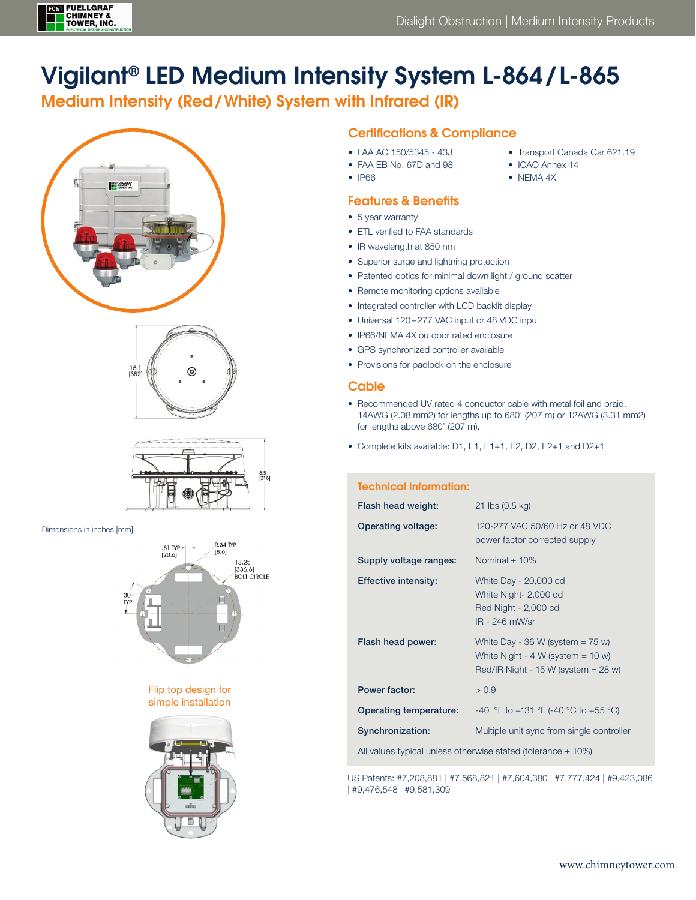

# Vigilant® LED Medium Intensity System L-864/ L-865

# Medium Intensity (Red/White) System with Infrared (IR)







Dimensions in inches [mm]



Flip top design for simple installation



### Certifications & Compliance

- FAA AC 150/5345 43J
- FAA EB No. 67D and 98
- IP66

### Features & Benefits

- 5 year warranty
- ETL verified to FAA standards
- IR wavelength at 850 nm
- Superior surge and lightning protection
- Patented optics for minimal down light / ground scatter
- Remote monitoring options available
- Integrated controller with LCD backlit display
- Universal 120–277 VAC input or 48 VDC input
- IP66/NEMA 4X outdoor rated enclosure
- GPS synchronized controller available
- Provisions for padlock on the enclosure

### **Cable**

- Recommended UV rated 4 conductor cable with metal foil and braid. 14AWG (2.08 mm2) for lengths up to 680' (207 m) or 12AWG (3.31 mm2) for lengths above 680' (207 m).
- Complete kits available: D1, E1, E1+1, E2, D2, E2+1 and D2+1

#### Technical Information:

| Flash head weight:                                               | 21 lbs (9.5 kg)                                                                                                       |  |
|------------------------------------------------------------------|-----------------------------------------------------------------------------------------------------------------------|--|
| <b>Operating voltage:</b>                                        | 120-277 VAC 50/60 Hz or 48 VDC<br>power factor corrected supply                                                       |  |
| Supply voltage ranges:                                           | Nominal $\pm$ 10%                                                                                                     |  |
| <b>Effective intensity:</b>                                      | White Day - 20,000 cd<br>White Night- 2,000 cd<br>Red Night - 2,000 cd<br>IR - 246 mW/sr                              |  |
| Flash head power:                                                | White Day - 36 W (system $= 75$ w)<br>White Night - $4 W$ (system = $10 w$ )<br>Red/IR Night - 15 W (system $=$ 28 w) |  |
| Power factor:                                                    | > 0.9                                                                                                                 |  |
| Operating temperature:                                           | -40 °F to +131 °F (-40 °C to +55 °C)                                                                                  |  |
| Synchronization:                                                 | Multiple unit sync from single controller                                                                             |  |
| All values typical unless otherwise stated (tolerance $\pm$ 10%) |                                                                                                                       |  |

US Patents: #7,208,881 | #7,568,821 | #7,604,380 | #7,777,424 | #9,423,086

| #9,476,548 | #9,581,309

- Transport Canada Car 621.19
- ICAO Annex 14
- NEMA 4X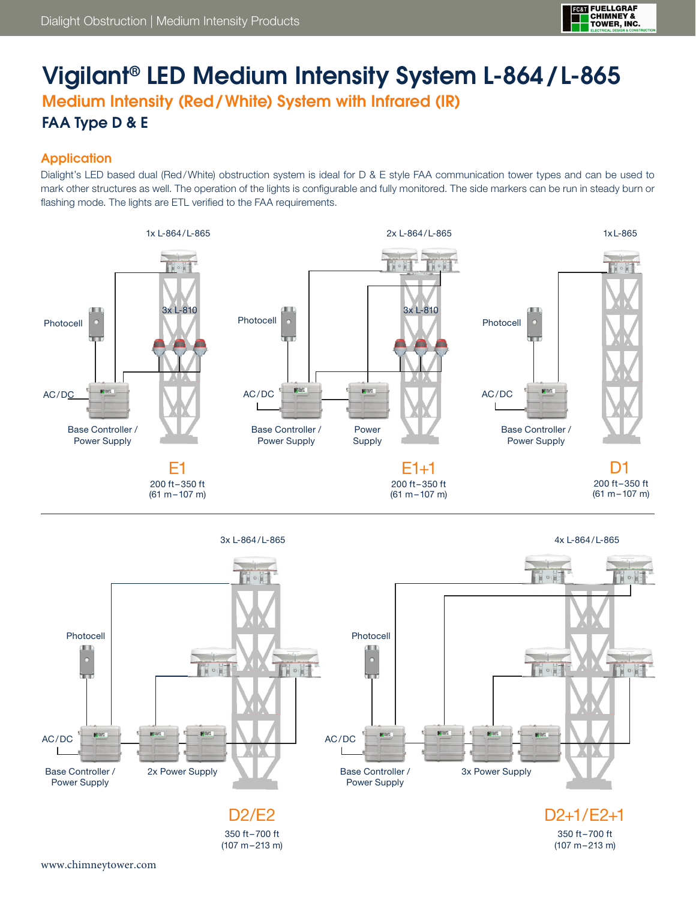

# Vigilant® LED Medium Intensity System L-864/ L-865 Medium Intensity (Red/White) System with Infrared (IR)

## **Application**

FAA Type D & E

Dialight's LED based dual (Red/White) obstruction system is ideal for D & E style FAA communication tower types and can be used to mark other structures as well. The operation of the lights is configurable and fully monitored. The side markers can be run in steady burn or flashing mode. The lights are ETL verified to the FAA requirements.